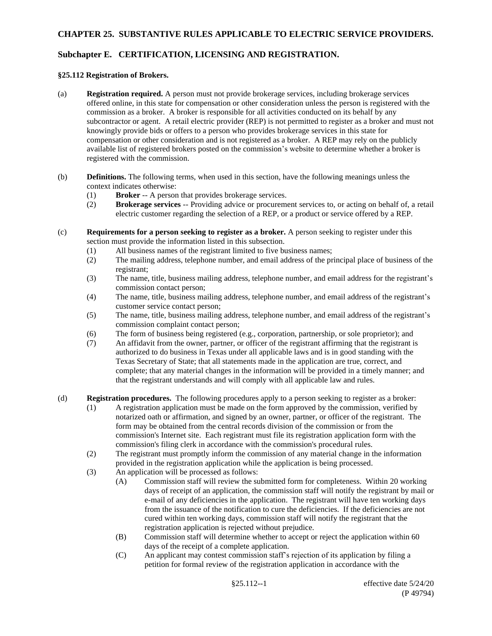## **Subchapter E. CERTIFICATION, LICENSING AND REGISTRATION.**

## **§25.112 Registration of Brokers.**

- (a) **Registration required.** A person must not provide brokerage services, including brokerage services offered online, in this state for compensation or other consideration unless the person is registered with the commission as a broker. A broker is responsible for all activities conducted on its behalf by any subcontractor or agent. A retail electric provider (REP) is not permitted to register as a broker and must not knowingly provide bids or offers to a person who provides brokerage services in this state for compensation or other consideration and is not registered as a broker. A REP may rely on the publicly available list of registered brokers posted on the commission's website to determine whether a broker is registered with the commission.
- (b) **Definitions.** The following terms, when used in this section, have the following meanings unless the context indicates otherwise:
	- (1) **Broker** -- A person that provides brokerage services.
	- (2) **Brokerage services** -- Providing advice or procurement services to, or acting on behalf of, a retail electric customer regarding the selection of a REP, or a product or service offered by a REP.
- (c) **Requirements for a person seeking to register as a broker.** A person seeking to register under this section must provide the information listed in this subsection.
	- (1) All business names of the registrant limited to five business names;
	- (2) The mailing address, telephone number, and email address of the principal place of business of the registrant;
	- (3) The name, title, business mailing address, telephone number, and email address for the registrant's commission contact person;
	- (4) The name, title, business mailing address, telephone number, and email address of the registrant's customer service contact person;
	- (5) The name, title, business mailing address, telephone number, and email address of the registrant's commission complaint contact person;
	- (6) The form of business being registered (e.g., corporation, partnership, or sole proprietor); and
	- (7) An affidavit from the owner, partner, or officer of the registrant affirming that the registrant is authorized to do business in Texas under all applicable laws and is in good standing with the Texas Secretary of State; that all statements made in the application are true, correct, and complete; that any material changes in the information will be provided in a timely manner; and that the registrant understands and will comply with all applicable law and rules.

(d) **Registration procedures.** The following procedures apply to a person seeking to register as a broker:

- (1) A registration application must be made on the form approved by the commission, verified by notarized oath or affirmation, and signed by an owner, partner, or officer of the registrant. The form may be obtained from the central records division of the commission or from the commission's Internet site. Each registrant must file its registration application form with the commission's filing clerk in accordance with the commission's procedural rules.
- (2) The registrant must promptly inform the commission of any material change in the information provided in the registration application while the application is being processed.
- (3) An application will be processed as follows:
	- (A) Commission staff will review the submitted form for completeness. Within 20 working days of receipt of an application, the commission staff will notify the registrant by mail or e-mail of any deficiencies in the application. The registrant will have ten working days from the issuance of the notification to cure the deficiencies. If the deficiencies are not cured within ten working days, commission staff will notify the registrant that the registration application is rejected without prejudice.
	- (B) Commission staff will determine whether to accept or reject the application within 60 days of the receipt of a complete application.
	- (C) An applicant may contest commission staff's rejection of its application by filing a petition for formal review of the registration application in accordance with the